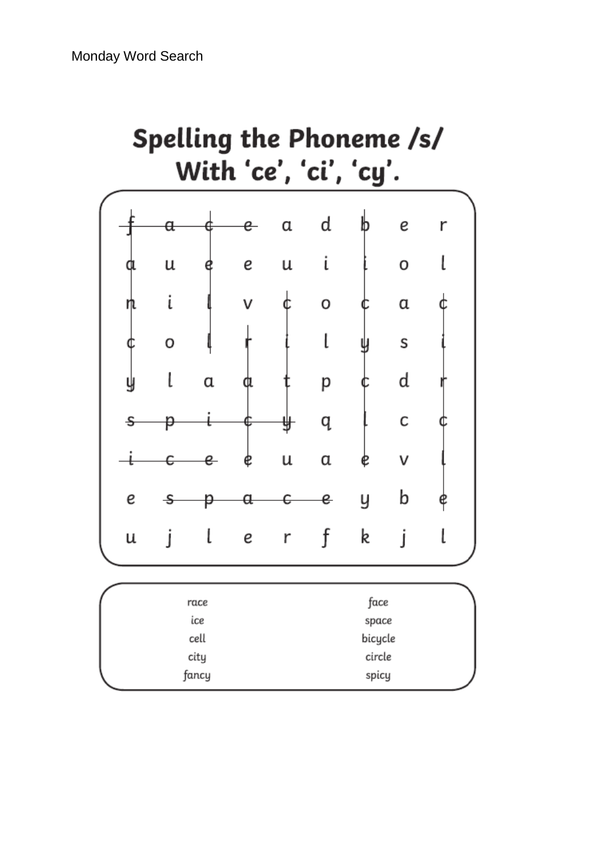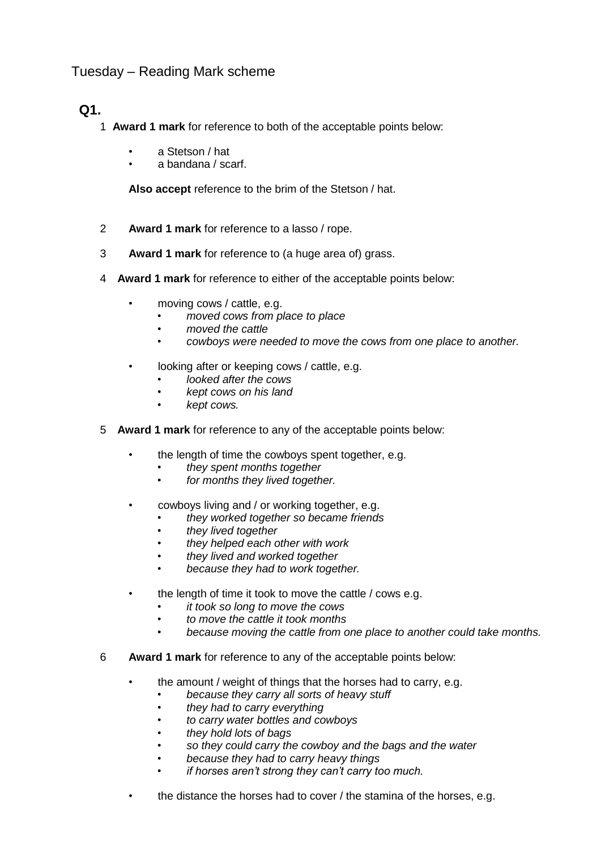## Tuesday – Reading Mark scheme

## **Q1.**

- 1 **Award 1 mark** for reference to both of the acceptable points below:
	- a Stetson / hat
	- a bandana / scarf.

**Also accept** reference to the brim of the Stetson / hat.

- 2 **Award 1 mark** for reference to a lasso / rope.
- 3 **Award 1 mark** for reference to (a huge area of) grass.
- 4 **Award 1 mark** for reference to either of the acceptable points below:
	- moving cows / cattle, e.g.
		- *moved cows from place to place*
		- *moved the cattle*
		- *cowboys were needed to move the cows from one place to another.*
	- looking after or keeping cows / cattle, e.g.
		- *looked after the cows*
		- *kept cows on his land*
		- *kept cows.*
- 5 **Award 1 mark** for reference to any of the acceptable points below:
	- the length of time the cowboys spent together, e.g.
		- *they spent months together*
		- *for months they lived together.*
	- cowboys living and / or working together, e.g.
		- *they worked together so became friends*
		- *they lived together*
		- *they helped each other with work*
		- *they lived and worked together*
		- *because they had to work together.*
	- the length of time it took to move the cattle / cows e.g.
		- *it took so long to move the cows*
		- *to move the cattle it took months*
		- *because moving the cattle from one place to another could take months.*
- 6 **Award 1 mark** for reference to any of the acceptable points below:
	- the amount / weight of things that the horses had to carry, e.g.
		- *because they carry all sorts of heavy stuff*
		- *they had to carry everything*
		- *to carry water bottles and cowboys*
		- *they hold lots of bags*
		- *so they could carry the cowboy and the bags and the water*
		- *because they had to carry heavy things*
		- *if horses aren't strong they can't carry too much.*
	- the distance the horses had to cover / the stamina of the horses, e.g.